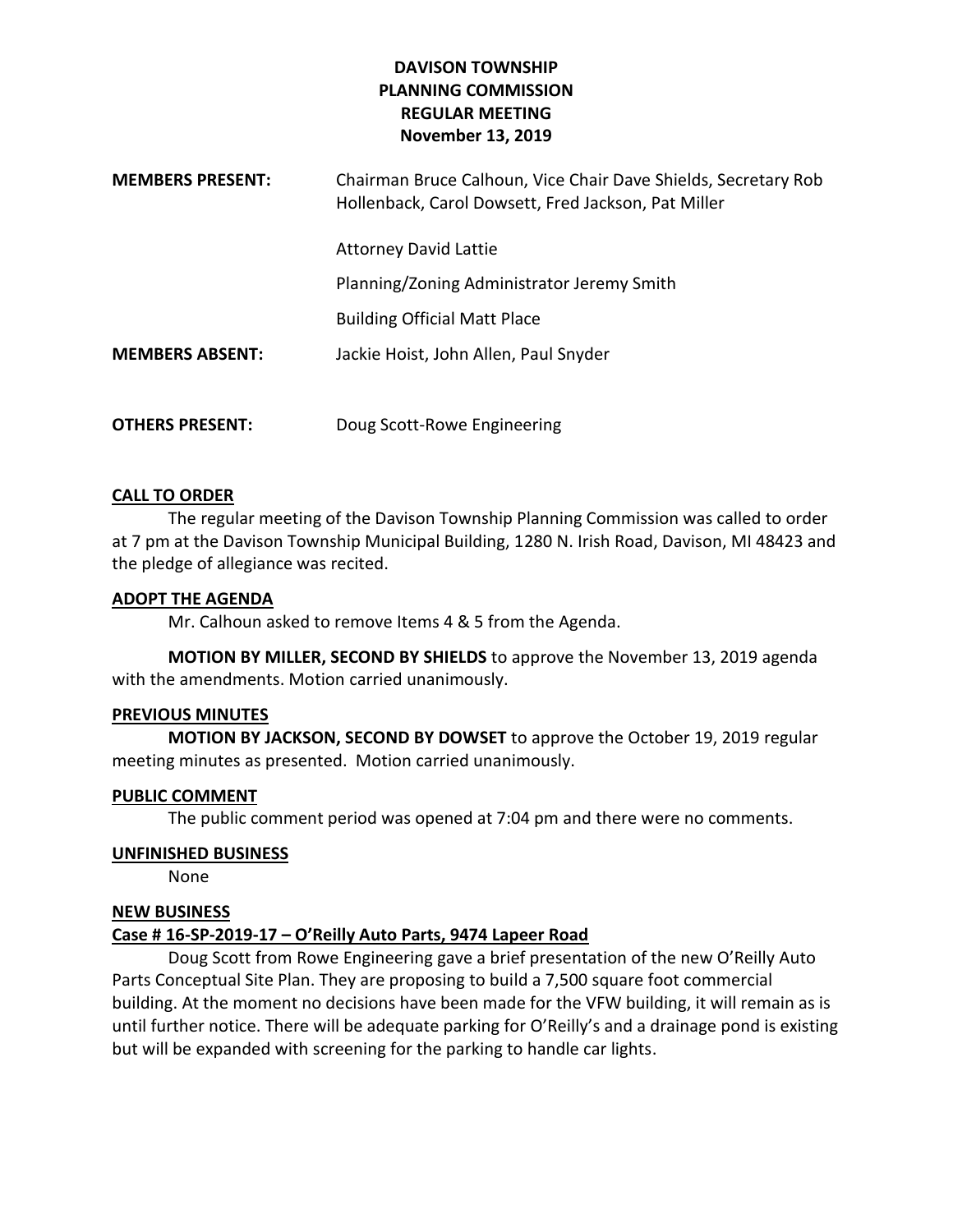# **DAVISON TOWNSHIP PLANNING COMMISSION REGULAR MEETING November 13, 2019**

| <b>MEMBERS PRESENT:</b> | Chairman Bruce Calhoun, Vice Chair Dave Shields, Secretary Rob<br>Hollenback, Carol Dowsett, Fred Jackson, Pat Miller |
|-------------------------|-----------------------------------------------------------------------------------------------------------------------|
|                         | <b>Attorney David Lattie</b>                                                                                          |
|                         | Planning/Zoning Administrator Jeremy Smith                                                                            |
|                         | <b>Building Official Matt Place</b>                                                                                   |
| <b>MEMBERS ABSENT:</b>  | Jackie Hoist, John Allen, Paul Snyder                                                                                 |
|                         |                                                                                                                       |
| <b>OTHERS PRESENT:</b>  | Doug Scott-Rowe Engineering                                                                                           |

## **CALL TO ORDER**

The regular meeting of the Davison Township Planning Commission was called to order at 7 pm at the Davison Township Municipal Building, 1280 N. Irish Road, Davison, MI 48423 and the pledge of allegiance was recited.

### **ADOPT THE AGENDA**

Mr. Calhoun asked to remove Items 4 & 5 from the Agenda.

**MOTION BY MILLER, SECOND BY SHIELDS** to approve the November 13, 2019 agenda with the amendments. Motion carried unanimously.

#### **PREVIOUS MINUTES**

**MOTION BY JACKSON, SECOND BY DOWSET** to approve the October 19, 2019 regular meeting minutes as presented. Motion carried unanimously.

## **PUBLIC COMMENT**

The public comment period was opened at 7:04 pm and there were no comments.

## **UNFINISHED BUSINESS**

None

## **NEW BUSINESS**

## **Case # 16-SP-2019-17 – O'Reilly Auto Parts, 9474 Lapeer Road**

Doug Scott from Rowe Engineering gave a brief presentation of the new O'Reilly Auto Parts Conceptual Site Plan. They are proposing to build a 7,500 square foot commercial building. At the moment no decisions have been made for the VFW building, it will remain as is until further notice. There will be adequate parking for O'Reilly's and a drainage pond is existing but will be expanded with screening for the parking to handle car lights.